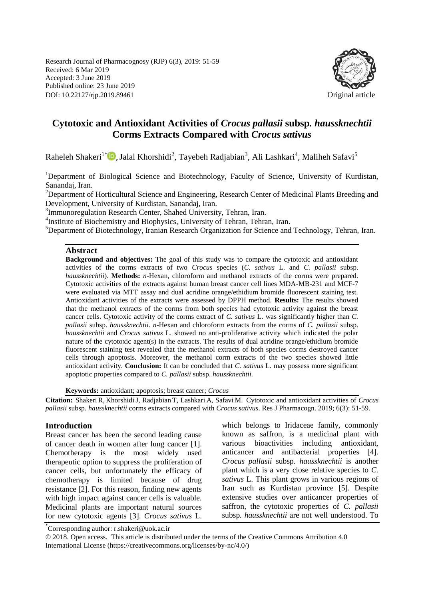Research Journal of Pharmacognosy (RJP) 6(3), 2019: 51-59 Received: 6 Mar 2019 Accepted: 3 June 2019 Published online: 23 June 2019 DOI: 10.22127/rjp.2019.89461 Original article



# **Cytotoxic and Antioxidant Activities of** *Crocus pallasii* **subsp***. haussknechtii* **Corms Extracts Compared with** *Crocus sativus*

Raheleh Shakeri<sup>1\*</sup><sup>®</sup>[,](https://orcid.org/0000-0002-1048-1472) Jalal Khorshidi<sup>2</sup>, Tayebeh Radjabian<sup>3</sup>, Ali Lashkari<sup>4</sup>, Maliheh Safavi<sup>5</sup>

<sup>1</sup>Department of Biological Science and Biotechnology, Faculty of Science, University of Kurdistan, Sanandaj, Iran.

<sup>2</sup>Department of Horticultural Science and Engineering, Research Center of Medicinal Plants Breeding and Development, University of Kurdistan, Sanandaj, Iran.

<sup>3</sup>Immunoregulation Research Center, Shahed University, Tehran, Iran.

<sup>4</sup>Institute of Biochemistry and Biophysics, University of Tehran, Tehran, Iran.

<sup>5</sup>Department of Biotechnology, Iranian Research Organization for Science and Technology, Tehran, Iran.

#### **Abstract**

**Background and objectives:** The goal of this study was to compare the cytotoxic and antioxidant activities of the corms extracts of two *Crocus* species (*C. sativus* L. and *C. pallasii* subsp. *haussknechtii*). **Methods:** *n*-Hexan, chloroform and methanol extracts of the corms were prepared. Cytotoxic activities of the extracts against human breast cancer cell lines MDA-MB-231 and MCF-7 were evaluated via MTT assay and dual acridine orange/ethidium bromide fluorescent staining test. Antioxidant activities of the extracts were assessed by DPPH method. **Results:** The results showed that the methanol extracts of the corms from both species had cytotoxic activity against the breast cancer cells. Cytotoxic activity of the corms extract of *C. sativus* L. was significantly higher than *C. pallasii* subsp. *haussknechtii*. *n*-Hexan and chloroform extracts from the corms of *C. pallasii* subsp. *haussknechtii* and *Crocus sativus* L. showed no anti-proliferative activity which indicated the polar nature of the cytotoxic agent(s) in the extracts. The results of dual acridine orange/ethidium bromide fluorescent staining test revealed that the methanol extracts of both species corms destroyed cancer cells through apoptosis. Moreover, the methanol corm extracts of the two species showed little antioxidant activity. **Conclusion:** It can be concluded that *C. sativus* L. may possess more significant apoptotic properties compared to *C. pallasii* subsp. *haussknechtii.* 

**Keywords:** antioxidant; apoptosis; breast cancer; *Crocus*

**Citation:** Shakeri R, KhorshidiJ, Radjabian T, Lashkari A, Safavi M. Cytotoxic and antioxidant activities of *Crocus pallasii* subsp. *haussknechtii* corms extracts compared with *Crocus sativus*. Res J Pharmacogn. 2019; 6(3): 51-59.

#### **Introduction**

Breast cancer has been the second leading cause of cancer death in women after lung cancer [1]. Chemotherapy is the most widely used therapeutic option to suppress the proliferation of cancer cells, but unfortunately the efficacy of chemotherapy is limited because of drug resistance [2]. For this reason, finding new agents with high impact against cancer cells is valuable. Medicinal plants are important natural sources for new cytotoxic agents [3]. *Crocus sativus* L. which belongs to Iridaceae family, commonly known as saffron, is a medicinal plant with various bioactivities including antioxidant, anticancer and antibacterial properties [4]. *Crocus pallasii* subsp. *haussknechtii* is another plant which is a very close relative species to *C. sativus* L. This plant grows in various regions of Iran such as Kurdistan province [5]. Despite extensive studies over anticancer properties of saffron, the cytotoxic properties of *C. pallasii*  subsp*. haussknechtii* are not well understood. To

\* Corresponding author: r.shakeri@uok.ac.ir

© 2018. Open access. This article is distributed under the terms of the Creative Commons Attribution 4.0 International License (https://creativecommons.org/licenses/by-nc/4.0/)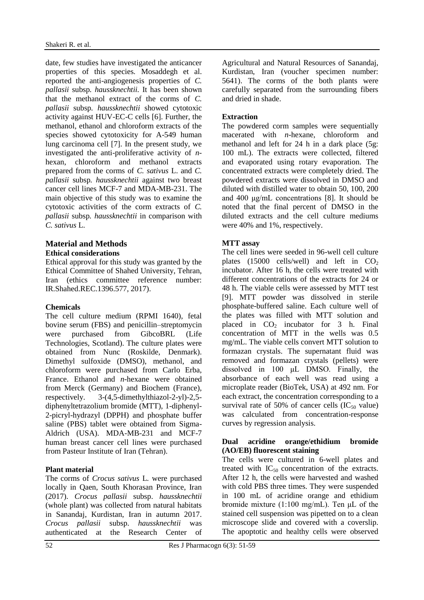date, few studies have investigated the anticancer properties of this species*.* Mosaddegh et al. reported the anti-angiogenesis properties of *C. pallasii* subsp*. haussknechtii.* It has been shown that the methanol extract of the corms of *C. pallasii* subsp*. haussknechtii* showed cytotoxic activity against HUV-EC-C cells [6]. Further, the methanol, ethanol and chloroform extracts of the species showed cytotoxicity for A-549 human lung carcinoma cell [7]. In the present study, we investigated the anti-proliferative activity of *n*hexan, chloroform and methanol extracts prepared from the corms of *C. sativus* L. and *C. pallasii* subsp*. haussknechtii* against two breast cancer cell lines MCF-7 and MDA-MB-231. The main objective of this study was to examine the cytotoxic activities of the corm extracts of *C. pallasii* subsp*. haussknechtii* in comparison with *C. sativus* L.

#### **Material and Methods Ethical considerations**

Ethical approval for this study was granted by the Ethical Committee of Shahed University, Tehran, Iran (ethics committee reference number: IR.Shahed.REC.1396.577, 2017).

### **Chemicals**

The cell culture medium (RPMI 1640), fetal bovine serum (FBS) and penicillin–streptomycin were purchased from GibcoBRL (Life Technologies, Scotland). The culture plates were obtained from Nunc (Roskilde, Denmark). Dimethyl sulfoxide (DMSO), methanol, and chloroform were purchased from Carlo Erba, France. Ethanol and *n*-hexane were obtained from Merck (Germany) and Biochem (France), respectively. 3-(4,5-dimethylthiazol-2-yl)-2,5 diphenyltetrazolium bromide (MTT), 1-diphenyl-2-picryl-hydrazyl (DPPH) and phosphate buffer saline (PBS) tablet were obtained from Sigma-Aldrich (USA). MDA-MB-231 and MCF-7 human breast cancer cell lines were purchased from Pasteur Institute of Iran (Tehran).

### **Plant material**

The corms of *Crocus sativus* L*.* were purchased locally in Qaen, South Khorasan Province, Iran (2017). *Crocus pallasii* subsp. *haussknechtii* (whole plant) was collected from natural habitats in Sanandaj, Kurdistan, Iran in autumn 2017. *Crocus pallasii* subsp. *haussknechtii* was authenticated at the Research Center of Agricultural and Natural Resources of Sanandaj, Kurdistan, Iran (voucher specimen number: 5641). The corms of the both plants were carefully separated from the surrounding fibers and dried in shade.

## **Extraction**

The powdered corm samples were sequentially macerated with *n*-hexane, chloroform and methanol and left for 24 h in a dark place (5g: 100 mL). The extracts were collected, filtered and evaporated using rotary evaporation. The concentrated extracts were completely dried. The powdered extracts were dissolved in DMSO and diluted with distilled water to obtain 50, 100, 200 and 400 μg/mL concentrations [8]. It should be noted that the final percent of DMSO in the diluted extracts and the cell culture mediums were 40% and 1%, respectively.

## **MTT assay**

The cell lines were seeded in 96-well cell culture plates (15000 cells/well) and left in  $CO<sub>2</sub>$ incubator. After 16 h, the cells were treated with different concentrations of the extracts for 24 or 48 h. The viable cells were assessed by MTT test [9]. MTT powder was dissolved in sterile phosphate-buffered saline. Each culture well of the plates was filled with MTT solution and placed in  $CO<sub>2</sub>$  incubator for 3 h. Final concentration of MTT in the wells was 0.5 mg/mL. The viable cells convert MTT solution to formazan crystals. The supernatant fluid was removed and formazan crystals (pellets) were dissolved in 100 μL DMSO. Finally, the absorbance of each well was read using a microplate reader (BioTek, USA) at 492 nm. For each extract, the concentration corresponding to a survival rate of 50% of cancer cells  $(IC_{50}$  value) was calculated from concentration-response curves by regression analysis.

### **Dual acridine orange/ethidium bromide (AO/EB) fluorescent staining**

The cells were cultured in 6-well plates and treated with  $IC_{50}$  concentration of the extracts. After 12 h, the cells were harvested and washed with cold PBS three times. They were suspended in 100 mL of acridine orange and ethidium bromide mixture (1:100 mg/mL). Ten μL of the stained cell suspension was pipetted on to a clean microscope slide and covered with a coverslip. The apoptotic and healthy cells were observed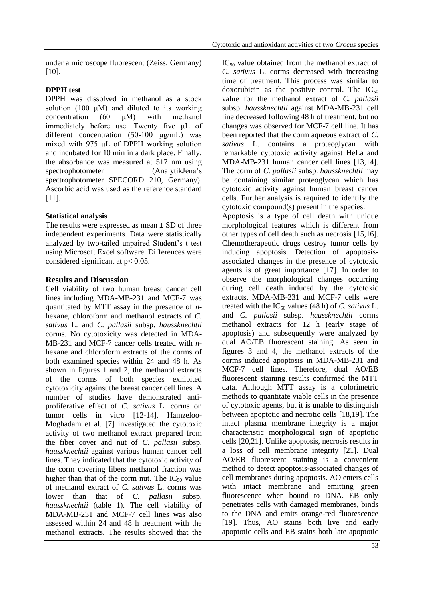under a microscope fluorescent (Zeiss, Germany) [10].

### **DPPH test**

DPPH was dissolved in methanol as a stock solution (100 μM) and diluted to its working concentration (60 μM) with methanol immediately before use. Twenty five μL of different concentration (50-100 μg/mL) was mixed with 975 μL of DPPH working solution and incubated for 10 min in a dark place. Finally, the absorbance was measured at 517 nm using spectrophotometer (AnalytikJena's spectrophotometer SPECORD 210, Germany). Ascorbic acid was used as the reference standard [11].

## **Statistical analysis**

The results were expressed as mean  $\pm$  SD of three independent experiments. Data were statistically analyzed by two-tailed unpaired Student's t test using Microsoft Excel software. Differences were considered significant at p< 0.05.

## **Results and Discussion**

Cell viability of two human breast cancer cell lines including MDA-MB-231 and MCF-7 was quantitated by MTT assay in the presence of *n*hexane, chloroform and methanol extracts of *C. sativus* L. and *C. pallasii* subsp. *haussknechtii* corms. No cytotoxicity was detected in MDA-MB-231 and MCF-7 cancer cells treated with *n*hexane and chloroform extracts of the corms of both examined species within 24 and 48 h. As shown in figures 1 and 2, the methanol extracts of the corms of both species exhibited cytotoxicity against the breast cancer cell lines. A number of studies have demonstrated antiproliferative effect of *C. sativus* L. corms on tumor cells in vitro [12-14]. Hamzeloo-Moghadam et al. [7] investigated the cytotoxic activity of two methanol extract prepared from the fiber cover and nut of *C. pallasii* subsp. *haussknechtii* against various human cancer cell lines. They indicated that the cytotoxic activity of the corm covering fibers methanol fraction was higher than that of the corm nut. The  $IC_{50}$  value of methanol extract of *C. sativus* L. corms was lower than that of *C. pallasii* subsp. *haussknechtii* (table 1). The cell viability of MDA-MB-231 and MCF-7 cell lines was also assessed within 24 and 48 h treatment with the methanol extracts*.* The results showed that the

 $IC_{50}$  value obtained from the methanol extract of *C. sativus* L. corms decreased with increasing time of treatment. This process was similar to doxorubicin as the positive control. The  $IC_{50}$ value for the methanol extract of *C. pallasii*  subsp. *haussknechtii* against MDA-MB-231 cell line decreased following 48 h of treatment, but no changes was observed for MCF-7 cell line. It has been reported that the corm aqueous extract of *C. sativus* L. contains a proteoglycan with remarkable cytotoxic activity against HeLa and MDA-MB-231 human cancer cell lines [13,14]. The corm of *C. pallasii* subsp. *haussknechtii* may be containing similar proteoglycan which has cytotoxic activity against human breast cancer cells. Further analysis is required to identify the cytotoxic compound(s) present in the species.

Apoptosis is a type of cell death with unique morphological features which is different from other types of cell death such as necrosis [15,16]. Chemotherapeutic drugs destroy tumor cells by inducing apoptosis. Detection of apoptosisassociated changes in the presence of cytotoxic agents is of great importance [17]. In order to observe the morphological changes occurring during cell death induced by the cytotoxic extracts, MDA-MB-231 and MCF-7 cells were treated with the IC<sub>50</sub> values (48 h) of *C. sativus* L. and *C. pallasii* subsp. *haussknechtii* corms methanol extracts for 12 h (early stage of apoptosis) and subsequently were analyzed by dual AO/EB fluorescent staining. As seen in figures 3 and 4, the methanol extracts of the corms induced apoptosis in MDA-MB-231 and MCF-7 cell lines. Therefore, dual AO/EB fluorescent staining results confirmed the MTT data. Although MTT assay is a colorimetric methods to quantitate viable cells in the presence of cytotoxic agents, but it is unable to distinguish between apoptotic and necrotic cells [18,19]. The intact plasma membrane integrity is a major characteristic morphological sign of apoptotic cells [20,21]. Unlike apoptosis, necrosis results in a loss of cell membrane integrity [21]. Dual AO/EB fluorescent staining is a convenient method to detect apoptosis-associated changes of cell membranes during apoptosis. AO enters cells with intact membrane and emitting green fluorescence when bound to DNA. EB only penetrates cells with damaged membranes, binds to the DNA and emits orange-red fluorescence [19]. Thus, AO stains both live and early apoptotic cells and EB stains both late apoptotic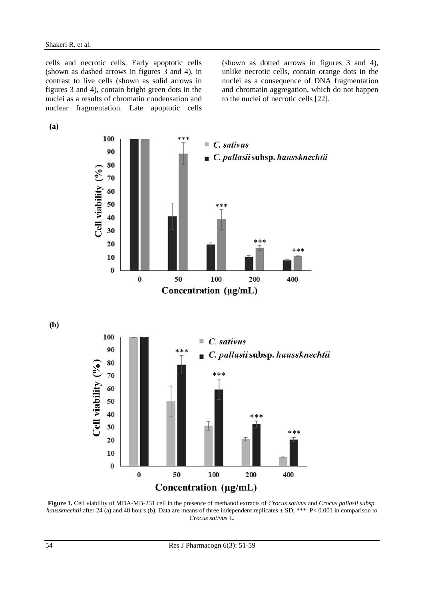cells and necrotic cells. Early apoptotic cells (shown as dashed arrows in figures 3 and 4), in contrast to live cells (shown as solid arrows in figures 3 and 4), contain bright green dots in the nuclei as a results of chromatin condensation and nuclear fragmentation. Late apoptotic cells

**(a)**

(shown as dotted arrows in figures 3 and 4), unlike necrotic cells, contain orange dots in the nuclei as a consequence of DNA fragmentation and chromatin aggregation, which do not happen to the nuclei of necrotic cells [22].



**(b)**



**Figure 1.** Cell viability of MDA-MB-231 cell in the presence of methanol extracts of *Crocus sativus* and *Crocus pallasii subsp. haussknechtii* after 24 (a) and 48 hours (b). Data are means of three independent replicates  $\pm$  SD; \*\*\*: P< 0.001 in comparison to *Crocus sativus* L.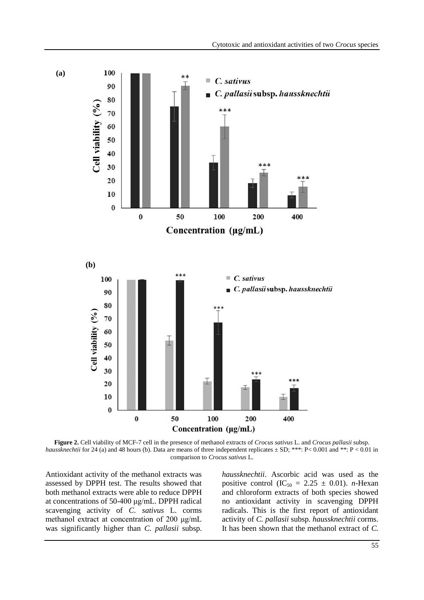

**Figure 2.** Cell viability of MCF-7 cell in the presence of methanol extracts of *Crocus sativus* L. and *Crocus pallasii* subsp. *haussknechtii* for 24 (a) and 48 hours (b). Data are means of three independent replicates  $\pm$  SD; \*\*\*: P < 0.001 and \*\*: P < 0.01 in comparison to *Crocus sativus* L.

Antioxidant activity of the methanol extracts was assessed by DPPH test. The results showed that both methanol extracts were able to reduce DPPH at concentrations of 50-400 μg/mL. DPPH radical scavenging activity of *C. sativus* L. corms methanol extract at concentration of 200 μg/mL was significantly higher than *C. pallasii* subsp.

*haussknechtii*. Ascorbic acid was used as the positive control  $(IC_{50} = 2.25 \pm 0.01)$ . *n*-Hexan and chloroform extracts of both species showed no antioxidant activity in scavenging DPPH radicals. This is the first report of antioxidant activity of *C. pallasii* subsp. *haussknechtii* corms. It has been shown that the methanol extract of *C.*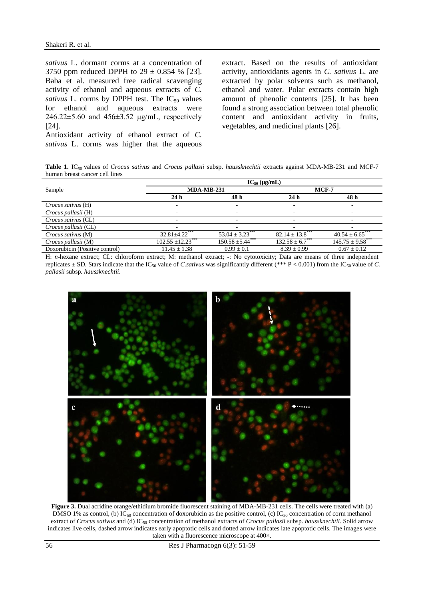*sativus* L. dormant corms at a concentration of 3750 ppm reduced DPPH to  $29 \pm 0.854$  % [23]. Baba et al. measured free radical scavenging activity of ethanol and aqueous extracts of *C. sativus* L. corms by DPPH test. The  $IC_{50}$  values for ethanol and aqueous extracts were 246.22±5.60 and 456±3.52 μg/mL, respectively [24].

Antioxidant activity of ethanol extract of *C. sativus* L. corms was higher that the aqueous extract. Based on the results of antioxidant activity, antioxidants agents in *C. sativus* L. are extracted by polar solvents such as methanol, ethanol and water. Polar extracts contain high amount of phenolic contents [25]. It has been found a strong association between total phenolic content and antioxidant activity in fruits, vegetables, and medicinal plants [26].

**Table 1.** IC50 values of *Crocus sativus* and *Crocus pallasii* subsp. *haussknechtii* extracts against MDA-MB-231 and MCF-7 human breast cancer cell lines

| Sample                         | $IC_{50}$ (µg/mL)      |                       |                               |                               |
|--------------------------------|------------------------|-----------------------|-------------------------------|-------------------------------|
|                                | <b>MDA-MB-231</b>      |                       | $MCF-7$                       |                               |
|                                | 24 <sub>h</sub>        | 48 h                  | 24 <sub>h</sub>               | 48 h                          |
| Crocus sativus (H)             | -                      |                       | $\overline{\phantom{0}}$      |                               |
| Crocus pallasii (H)            |                        |                       |                               |                               |
| Crocus sativus (CL)            |                        |                       |                               |                               |
| Crocus pallasii (CL)           |                        |                       | -                             |                               |
| Crocus sativus (M)             | $32.81 + 4.22$         | $53.04 \pm 3.23$      | $82.14 \pm 13.8$ <sup>*</sup> | $40.54 \pm 6.65$ <sup>*</sup> |
| Crocus pallasii (M)            | $102.55 \pm 12.23$ *** | $150.58 \pm 5.44$ *** | $132.58 \pm 6.7$ ***          | $145.75 \pm 9.58$ **          |
| Doxorubicin (Positive control) | $11.45 \pm 1.38$       | $0.99 \pm 0.1$        | $8.39 \pm 0.99$               | $0.67 \pm 0.12$               |

H: *n*-hexane extract; CL: chloroform extract; M: methanol extract; -: No cytotoxicity; Data are means of three independent replicates  $\pm$  SD. Stars indicate that the IC<sub>50</sub> value of *C.sativus* was significantly different (\*\*\* P < 0.001) from the IC<sub>50</sub> value of *C*. *pallasii* subsp. *haussknechtii*.



**Figure 3.** Dual acridine orange/ethidium bromide fluorescent staining of MDA-MB-231 cells. The cells were treated with (a) DMSO 1% as control, (b)  $IC_{50}$  concentration of doxorubicin as the positive control, (c)  $IC_{50}$  concentration of corm methanol extract of *Crocus sativus* and (d) IC<sup>50</sup> concentration of methanol extracts of *Crocus pallasii* subsp. *haussknechtii*. Solid arrow indicates live cells, dashed arrow indicates early apoptotic cells and dotted arrow indicates late apoptotic cells. The images were taken with a fluorescence microscope at 400×.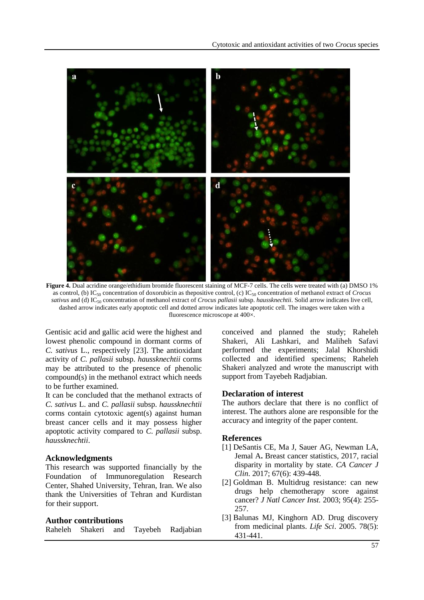

Figure 4. Dual acridine orange/ethidium bromide fluorescent staining of MCF-7 cells. The cells were treated with (a) DMSO 1% as control, (b) IC<sup>50</sup> concentration of doxorubicin as thepositive control, (c) IC<sup>50</sup> concentration of methanol extract of *Crocus* sativus and (d) IC<sub>50</sub> concentration of methanol extract of *Crocus pallasii* subsp. *haussknechtii*. Solid arrow indicates live cell, dashed arrow indicates early apoptotic cell and dotted arrow indicates late apoptotic cell. The images were taken with a fluorescence microscope at 400×.

Gentisic acid and gallic acid were the highest and lowest phenolic compound in dormant corms of *C. sativus* L., respectively [23]. The antioxidant activity of *C. pallasii* subsp. *haussknechtii* corms may be attributed to the presence of phenolic compound(s) in the methanol extract which needs to be further examined.

It can be concluded that the methanol extracts of *C. sativus* L. and *C. pallasii* subsp. *haussknechtii* corms contain cytotoxic agent(s) against human breast cancer cells and it may possess higher apoptotic activity compared to *C. pallasii* subsp. *haussknechtii*.

#### **Acknowledgments**

This research was supported financially by the Foundation of Immunoregulation Research Center, Shahed University, Tehran, Iran. We also thank the Universities of Tehran and Kurdistan for their support.

#### **Author contributions**

Raheleh Shakeri and Tayebeh Radjabian

conceived and planned the study; Raheleh Shakeri, Ali Lashkari, and Maliheh Safavi performed the experiments; Jalal Khorshidi collected and identified specimens; Raheleh Shakeri analyzed and wrote the manuscript with support from Tayebeh Radjabian.

#### **Declaration of interest**

The authors declare that there is no conflict of interest. The authors alone are responsible for the accuracy and integrity of the paper content.

#### **References**

- [1] DeSantis CE, Ma J, Sauer AG, Newman LA, Jemal A**.** Breast cancer statistics, 2017, racial disparity in mortality by state. *CA Cancer J Clin*. 2017; 67(6): 439-448.
- [2] Goldman B. Multidrug resistance: can new drugs help chemotherapy score against cancer? *J Natl Cancer Inst.* 2003; 95(4): 255- 257.
- [3] Balunas MJ, Kinghorn AD. Drug discovery from medicinal plants. *Life Sci*. 2005. 78(5): 431-441.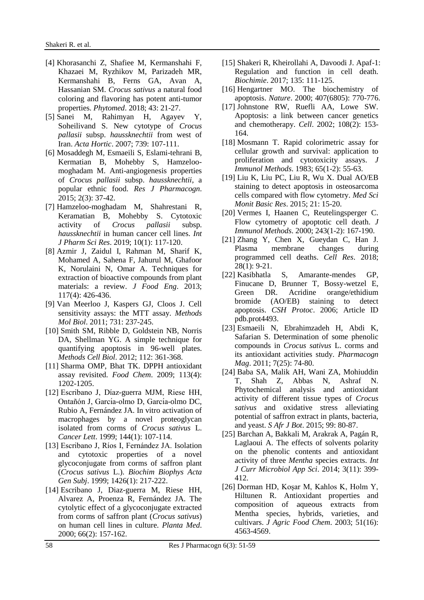- [4] Khorasanchi Z, Shafiee M, Kermanshahi F, Khazaei M, Ryzhikov M, Parizadeh MR, Kermanshahi B, Ferns GA, Avan A, Hassanian SM. *Crocus sativus* a natural food coloring and flavoring has potent anti-tumor properties. *Phytomed*. 2018; 43: 21-27.
- [5] Sanei M, Rahimyan H, Agayev Y, Soheilivand S. New cytotype of *Crocus pallasii* subsp. *haussknechtii* from west of Iran. *Acta Hortic*. 2007; 739: 107-111.
- [6] Mosaddegh M, Esmaeili S, Eslami-tehrani B, Kermatian B, Mohebby S, Hamzeloomoghadam M. Anti-angiogenesis properties of *Crocus pallasii* subsp. *haussknechtii*, a popular ethnic food. *Res J Pharmacogn*. 2015; 2(3): 37-42.
- [7] Hamzeloo-moghadam M, Shahrestani R, Keramatian B, Mohebby S. Cytotoxic activity of *Crocus pallasii* subsp. *haussknechtii* in human cancer cell lines. *Int J Pharm Sci Res*. 2019; 10(1): 117-120.
- [8] Azmir J, Zaidul I, Rahman M, Sharif K, Mohamed A, Sahena F, Jahurul M, Ghafoor K, Norulaini N, Omar A. Techniques for extraction of bioactive compounds from plant materials: a review. *J Food Eng*. 2013; 117(4): 426-436.
- [9] Van Meerloo J, Kaspers GJ, Cloos J. Cell sensitivity assays: the MTT assay. *Methods Mol Biol*. 2011; 731: 237-245.
- [10] Smith SM, Ribble D, Goldstein NB, Norris DA, Shellman YG. A simple technique for quantifying apoptosis in 96-well plates. *Methods Cell Biol*. 2012; 112: 361-368.
- [11] Sharma OMP, Bhat TK. DPPH antioxidant assay revisited. *Food Chem*. 2009; 113(4): 1202-1205.
- [12] Escribano J, Díaz-guerra MJM, Riese HH, Ontañón J, García-olmo D, García-olmo DC, Rubio A, Fernández JA. In vitro activation of macrophages by a novel proteoglycan isolated from corms of *Crocus sativus* L. *Cancer Lett*. 1999; 144(1): 107-114.
- [13] Escribano J, Rı́os I, Fernández JA. Isolation and cytotoxic properties of a novel glycoconjugate from corms of saffron plant (*Crocus sativus* L.). *Biochim Biophys Acta Gen Subj*. 1999; 1426(1): 217-222.
- [14] Escribano J, Diaz-guerra M, Riese HH, Alvarez A, Proenza R, Fernández JA. The cytolytic effect of a glycoconjugate extracted from corms of saffron plant (*Crocus sativus*) on human cell lines in culture. *Planta Med*. 2000; 66(2): 157-162.
- [15] Shakeri R, Kheirollahi A, Davoodi J. Apaf-1: Regulation and function in cell death. *Biochimie*. 2017; 135: 111-125.
- [16] Hengartner MO. The biochemistry of apoptosis. *Nature*. 2000; 407(6805): 770-776.
- [17] Johnstone RW, Ruefli AA, Lowe SW. Apoptosis: a link between cancer genetics and chemotherapy. *Cell*. 2002; 108(2): 153- 164.
- [18] Mosmann T. Rapid colorimetric assay for cellular growth and survival: application to proliferation and cytotoxicity assays. *J Immunol Methods*. 1983; 65(1-2): 55-63.
- [19] Liu K, Liu PC, Liu R, Wu X. Dual AO/EB staining to detect apoptosis in osteosarcoma cells compared with flow cytometry. *Med Sci Monit Basic Res*. 2015; 21: 15-20.
- [20] Vermes I, Haanen C, Reutelingsperger C. Flow cytometry of apoptotic cell death. *J Immunol Methods*. 2000; 243(1-2): 167-190.
- [21] Zhang Y, Chen X, Gueydan C, Han J. Plasma membrane changes during programmed cell deaths. *Cell Res*. 2018; 28(1): 9-21.
- [22] Kasibhatla S, Amarante-mendes GP, Finucane D, Brunner T, Bossy-wetzel E, Green DR. Acridine orange/ethidium bromide (AO/EB) staining to detect apoptosis. *CSH Protoc*. 2006; Article ID pdb.prot4493.
- [23] Esmaeili N, Ebrahimzadeh H, Abdi K, Safarian S. Determination of some phenolic compounds in *Crocus sativus* L. corms and its antioxidant activities study. *Pharmacogn Mag*. 2011; 7(25): 74-80.
- [24] Baba SA, Malik AH, Wani ZA, Mohiuddin T, Shah Z, Abbas N, Ashraf N. Phytochemical analysis and antioxidant activity of different tissue types of *Crocus sativus* and oxidative stress alleviating potential of saffron extract in plants, bacteria, and yeast. *S Afr J Bot*. 2015; 99: 80-87.
- [25] Barchan A, Bakkali M, Arakrak A, Pagán R, Laglaoui A. The effects of solvents polarity on the phenolic contents and antioxidant activity of three *Mentha* species extracts. *Int J Curr Microbiol App Sci*. 2014; 3(11): 399- 412.
- [26] Dorman HD, Koşar M, Kahlos K, Holm Y, Hiltunen R. Antioxidant properties and composition of aqueous extracts from Mentha species, hybrids, varieties, and cultivars. *J Agric Food Chem*. 2003; 51(16): 4563-4569.